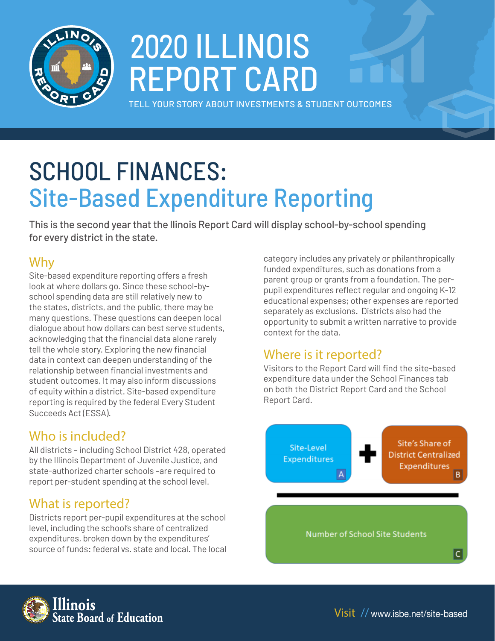

# 2020 ILLINOIS REPORT CARD

TELL YOUR STORY ABOUT INVESTMENTS & STUDENT OUTCOMES

## SCHOOL FINANCES: Site-Based Expenditure Reporting

This is the second year that the llinois Report Card will display school-by-school spending for every district in the state.

## Why

Site-based expenditure reporting offers a fresh look at where dollars go. Since these school-byschool spending data are still relatively new to the states, districts, and the public, there may be many questions. These questions can deepen local dialogue about how dollars can best serve students, acknowledging that the financial data alone rarely tell the whole story. Exploring the new financial data in context can deepen understanding of the relationship between financial investments and student outcomes. It may also inform discussions of equity within a district. Site-based expenditure reporting is required by the federal Every Student Succeeds Act (ESSA).

## Who is included?

All districts – including School District 428, operated by the Illinois Department of Juvenile Justice, and state-authorized charter schools –are required to report per-student spending at the school level.

### What is reported?

Districts report per-pupil expenditures at the school level, including the school's share of centralized expenditures, broken down by the expenditures' source of funds: federal vs. state and local. The local category includes any privately or philanthropically funded expenditures, such as donations from a parent group or grants from a foundation. The perpupil expenditures reflect regular and ongoing K-12 educational expenses; other expenses are reported separately as exclusions. Districts also had the opportunity to submit a written narrative to provide context for the data.

## Where is it reported?

Visitors to the Report Card will find the site-based expenditure data under the School Finances tab on both the District Report Card and the School Report Card.